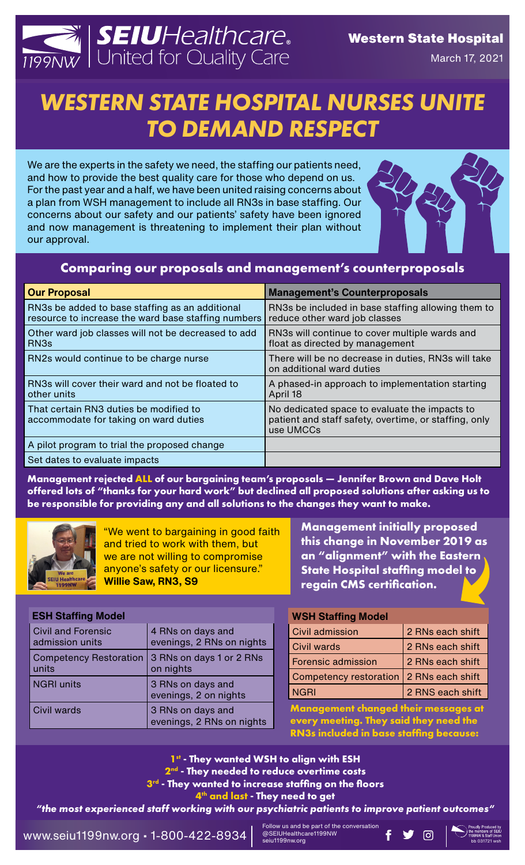

# *WESTERN STATE HOSPITAL NURSES UNITE TO DEMAND RESPECT*

We are the experts in the safety we need, the staffing our patients need, and how to provide the best quality care for those who depend on us. For the past year and a half, we have been united raising concerns about a plan from WSH management to include all RN3s in base staffing. Our concerns about our safety and our patients' safety have been ignored and now management is threatening to implement their plan without our approval.

## **Comparing our proposals and management's counterproposals**

| <b>Our Proposal</b>                                                                                    | <b>Management's Counterproposals</b>                                                                                |
|--------------------------------------------------------------------------------------------------------|---------------------------------------------------------------------------------------------------------------------|
| RN3s be added to base staffing as an additional<br>resource to increase the ward base staffing numbers | RN3s be included in base staffing allowing them to<br>reduce other ward job classes                                 |
| Other ward job classes will not be decreased to add<br>RN <sub>3s</sub>                                | RN3s will continue to cover multiple wards and<br>float as directed by management                                   |
| RN2s would continue to be charge nurse                                                                 | There will be no decrease in duties, RN3s will take<br>on additional ward duties                                    |
| RN3s will cover their ward and not be floated to<br>other units                                        | A phased-in approach to implementation starting<br>April 18                                                         |
| That certain RN3 duties be modified to<br>accommodate for taking on ward duties                        | No dedicated space to evaluate the impacts to<br>patient and staff safety, overtime, or staffing, only<br>use UMCCs |
| A pilot program to trial the proposed change                                                           |                                                                                                                     |
| Set dates to evaluate impacts                                                                          |                                                                                                                     |

**Management rejected ALL of our bargaining team's proposals — Jennifer Brown and Dave Holt offered lots of "thanks for your hard work" but declined all proposed solutions after asking us to be responsible for providing any and all solutions to the changes they want to make.**



"We went to bargaining in good faith and tried to work with them, but we are not willing to compromise anyone's safety or our licensure." **Willie Saw, RN3, S9**

**Management initially proposed this change in November 2019 as an "alignment" with the Eastern State Hospital staffing model to regain CMS certification.**

| <b>ESH Staffing Model</b>                      |  |
|------------------------------------------------|--|
| 4 RNs on days and<br>evenings, 2 RNs on nights |  |
| 3 RNs on days 1 or 2 RNs<br>on nights          |  |
| 3 RNs on days and<br>evenings, 2 on nights     |  |
| 3 RNs on days and<br>evenings, 2 RNs on nights |  |
|                                                |  |

#### **WSH Staffing Model**

| Civil admission                           | 2 RNs each shift |
|-------------------------------------------|------------------|
| <b>Civil wards</b>                        | 2 RNs each shift |
| <b>Forensic admission</b>                 | 2 RNs each shift |
| Competency restoration   2 RNs each shift |                  |
| <b>NGRI</b>                               | 2 RNS each shift |

**Management changed their messages at every meeting. They said they need the RN3s included in base staffing because:**

**1st - They wanted WSH to align with ESH 2nd - They needed to reduce overtime costs 3rd - They wanted to increase staffing on the floors**

**4th and last - They need to get** 

*"the most experienced staff working with our psychiatric patients to improve patient outcomes"*

www.seiu1199nw.org • 1-800-422-8934 bb 031721 wsh

Follow us and be part of the conversation @SEIUHealthcare1199NW seiu1199nw.org

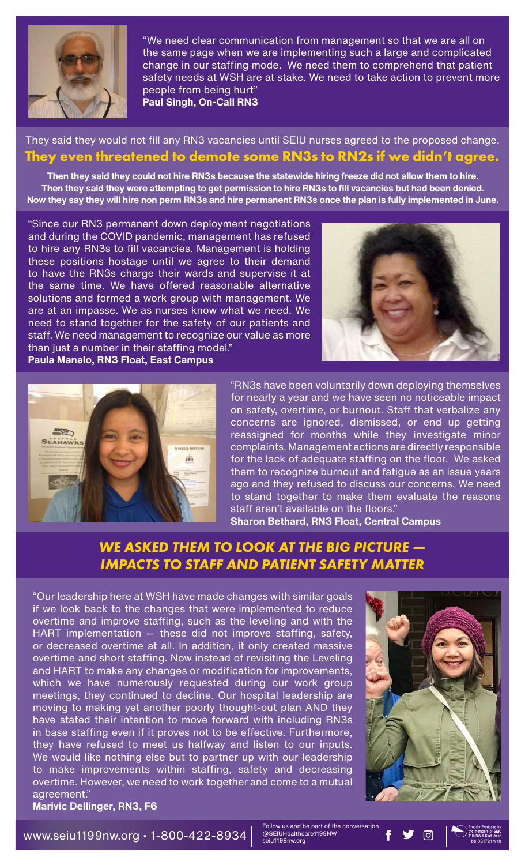

"We need clear communication from management so that we are all on the same page when we are implementing such a large and complicated change in our staffing mode. We need them to comprehend that patient safety needs at WSH are at stake. We need to take action to prevent more people from being hurt" **Paul Singh, On-Call RN3**

### They said they would not fill any RN3 vacancies until SEIU nurses agreed to the proposed change. **They even threatened to demote some RN3s to RN2s if we didn't agree.**

**Then they said they could not hire RN3s because the statewide hiring freeze did not allow them to hire. Then they said they were attempting to get permission to hire RN3s to fill vacancies but had been denied. Now they say they will hire non perm RN3s and hire permanent RN3s once the plan is fully implemented in June.**

"Since our RN3 permanent down deployment negotiations and during the COVID pandemic, management has refused to hire any RN3s to fill vacancies. Management is holding these positions hostage until we agree to their demand to have the RN3s charge their wards and supervise it at the same time. We have offered reasonable alternative solutions and formed a work group with management. We are at an impasse. We as nurses know what we need. We need to stand together for the safety of our patients and staff. We need management to recognize our value as more than just a number in their staffing model." **Paula Manalo, RN3 Float, East Campus**





"RN3s have been voluntarily down deploying themselves for nearly a year and we have seen no noticeable impact on safety, overtime, or burnout. Staff that verbalize any concerns are ignored, dismissed, or end up getting reassigned for months while they investigate minor complaints. Management actions are directly responsible for the lack of adequate staffing on the floor. We asked them to recognize burnout and fatigue as an issue years ago and they refused to discuss our concerns. We need to stand together to make them evaluate the reasons staff aren't available on the floors." **Sharon Bethard, RN3 Float, Central Campus**

# *WE ASKED THEM TO LOOK AT THE BIG PICTURE — IMPACTS TO STAFF AND PATIENT SAFETY MATTER*

"Our leadership here at WSH have made changes with similar goals if we look back to the changes that were implemented to reduce overtime and improve staffing, such as the leveling and with the HART implementation — these did not improve staffing, safety, or decreased overtime at all. In addition, it only created massive overtime and short staffing. Now instead of revisiting the Leveling and HART to make any changes or modification for improvements, which we have numerously requested during our work group meetings, they continued to decline. Our hospital leadership are moving to making yet another poorly thought-out plan AND they have stated their intention to move forward with including RN3s in base staffing even if it proves not to be effective. Furthermore, they have refused to meet us halfway and listen to our inputs. We would like nothing else but to partner up with our leadership to make improvements within staffing, safety and decreasing overtime. However, we need to work together and come to a mutual agreement."



[ପ]

bb 031721 wsh

**Marivic Dellinger, RN3, F6**

www.seiu1199nw.org • 1-800-422-8934

Follow us and be part of the conversation @SEIUHealthcare1199NW seiu1199nw.org